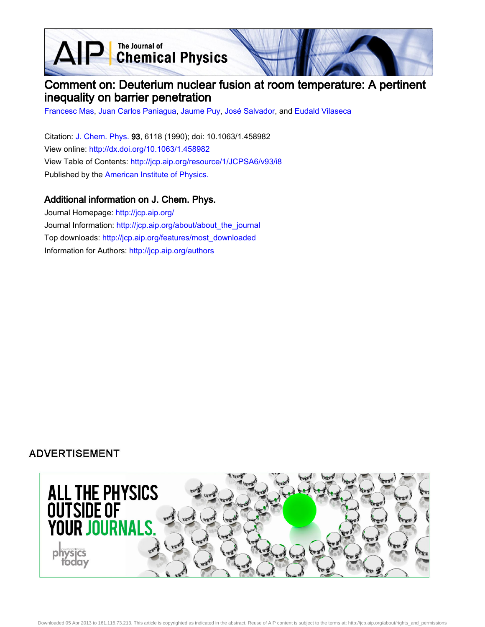**D** The Journal of<br> **Chemical Physics** 

## Comment on: Deuterium nuclear fusion at room temperature: A pertinent inequality on barrier penetration

[Francesc Mas,](http://jcp.aip.org/search?sortby=newestdate&q=&searchzone=2&searchtype=searchin&faceted=faceted&key=AIP_ALL&possible1=Francesc Mas&possible1zone=author&alias=&displayid=AIP&ver=pdfcov) [Juan Carlos Paniagua,](http://jcp.aip.org/search?sortby=newestdate&q=&searchzone=2&searchtype=searchin&faceted=faceted&key=AIP_ALL&possible1=Juan Carlos Paniagua&possible1zone=author&alias=&displayid=AIP&ver=pdfcov) [Jaume Puy](http://jcp.aip.org/search?sortby=newestdate&q=&searchzone=2&searchtype=searchin&faceted=faceted&key=AIP_ALL&possible1=Jaume Puy&possible1zone=author&alias=&displayid=AIP&ver=pdfcov), [José Salvador](http://jcp.aip.org/search?sortby=newestdate&q=&searchzone=2&searchtype=searchin&faceted=faceted&key=AIP_ALL&possible1=Jos� Salvador&possible1zone=author&alias=&displayid=AIP&ver=pdfcov), and [Eudald Vilaseca](http://jcp.aip.org/search?sortby=newestdate&q=&searchzone=2&searchtype=searchin&faceted=faceted&key=AIP_ALL&possible1=Eudald Vilaseca&possible1zone=author&alias=&displayid=AIP&ver=pdfcov)

Citation: [J. Chem. Phys. 9](http://jcp.aip.org/?ver=pdfcov)3, 6118 (1990); doi: 10.1063/1.458982 View online: [http://dx.doi.org/10.1063/1.458982](http://link.aip.org/link/doi/10.1063/1.458982?ver=pdfcov) View Table of Contents: [http://jcp.aip.org/resource/1/JCPSA6/v93/i8](http://jcp.aip.org/resource/1/JCPSA6/v93/i8?ver=pdfcov) Published by the [American Institute of Physics.](http://www.aip.org/?ver=pdfcov)

## Additional information on J. Chem. Phys.

Journal Homepage: [http://jcp.aip.org/](http://jcp.aip.org/?ver=pdfcov) Journal Information: [http://jcp.aip.org/about/about\\_the\\_journal](http://jcp.aip.org/about/about_the_journal?ver=pdfcov) Top downloads: [http://jcp.aip.org/features/most\\_downloaded](http://jcp.aip.org/features/most_downloaded?ver=pdfcov) Information for Authors: [http://jcp.aip.org/authors](http://jcp.aip.org/authors?ver=pdfcov)

## **ADVERTISEMENT**

 $\Delta$ 

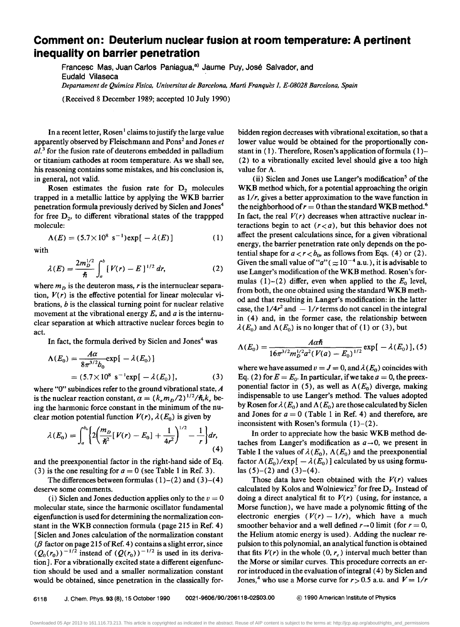## **Comment on: Deuterium nuclear fusion at room temperature: A pertinent inequality on barrier penetration**

Francesc Mas, Juan Carlos Paniagua,<sup>a)</sup> Jaume Puy, José Salvador, and Eudald Vilaseca *Departament de Quimica FlSica, Universitat de Barcelona, Marti Franques* 1, *E-08028 Barcelona, Spain* 

(Received 8 December 1989; accepted 10 July 1990)

In a recent letter, Rosen<sup>1</sup> claims to justify the large value apparently observed by Fleischmann and Pons2 and Jones *et*  al.<sup>3</sup> for the fusion rate of deuterons embedded in palladium or titanium cathodes at room temperature. As we shall see, his reasoning contains some mistakes, and his conclusion is, in general, not valid.

Rosen estimates the fusion rate for  $D_2$  molecules trapped in a metallic lattice by applying the WKB barrier penetration formula previously derived by Siclen and Jones4 for free  $D_2$ , to different vibrational states of the trappped molecule:

$$
\Lambda(E) = (5.7 \times 10^8 \text{ s}^{-1}) \exp[-\lambda(E)] \tag{1}
$$

with

$$
\lambda(E) = \frac{2m_D^{1/2}}{\hbar} \int_a^b [V(r) - E]^{1/2} dr, \qquad (2)
$$

where  $m<sub>D</sub>$  is the deuteron mass, r is the internuclear separation,  $V(r)$  is the effective potential for linear molecular vibrations,  $b$  is the classical turning point for nuclear relative movement at the vibrational energy E, and *a* is the internuclear separation at which attractive nuclear forces begin to act.

In fact, the formula derived by Siclen and Jones<sup>4</sup> was

$$
\Lambda(E_0) = \frac{A\alpha}{8\pi^{3/2}b_0} \exp[-\lambda(E_0)]
$$
  
= (5.7×10<sup>8</sup> s<sup>-1</sup>exp[-\lambda(E\_0)], (3)

where "0" subindices refer to the ground vibrational state,  $A$ is the nuclear reaction constant,  $\alpha = (k_e m_D/2)^{1/2}/\hbar, k_e$  being the harmonic force constant in the minimum of the nuclear motion potential function  $V(r)$ ,  $\lambda(E_0)$  is given by

$$
\lambda(E_0) = \int_a^{b_0} \left\{ 2 \left( \frac{m_D}{\hbar^2} [V(r) - E_0] + \frac{1}{4r^2} \right)^{1/2} - \frac{1}{r} \right\} dr, \tag{4}
$$

and the preexponential factor in the right-hand side of Eq. (3) is the one resulting for  $a = 0$  (see Table 1 in Ref. 3).

The differences between formulas  $(1)-(2)$  and  $(3)-(4)$ deserve some comments.

(i) Siclen and Jones deduction applies only to the  $v = 0$ molecular state, since the harmonic oscillator fundamental eigenfunction is used for determining the normalization constant in the WKB connection formula (page 21S in Ref. 4) [Siclen and Jones calculation of the normalization constant ( $\beta$  factor on page 215 of Ref. 4) contains a slight error, since  $(Q_0(r_0))^{-1/2}$  instead of  $(Q(r_0))^{-1/2}$  is used in its derivation]. For a vibrationally excited state a different eigenfunction should be used and a smaller normalization constant would be obtained, since penetration in the classically forbidden region decreases with vibrational excitation, so that a lower value would be obtained for the proportionally constant in  $(1)$ . Therefore, Rosen's application of formula  $(1)$ -(2) to a vibrationally excited level should give a too high value for A.

(ii) Siclen and Jones use Langer's modification<sup>5</sup> of the WKB method which, for a potential approaching the origin as 1/r, gives a better approximation to the wave function in the neighborhood of  $r = 0$  than the standard WKB method.<sup>6</sup> In fact, the real  $V(r)$  decreases when attractive nuclear interactions begin to act  $(r < a)$ , but this behavior does not affect the present calculations since, for a given vibrational energy, the barrier penetration rate only depends on the potential shape for  $a < r < b_0$ , as follows from Eqs. (4) or (2). Given the small value of " $a$ " ( $\approx 10^{-4}$  a.u.), it is advisable to use Langer's modification of the WKB method. Rosen's formulas (1)-(2) differ, even when applied to the  $E_0$  level, from both, the one obtained using the standard WKB method and that resulting in Langer's modification: in the latter case, the  $1/4r^2$  and  $-1/r$  terms do not cancel in the integral in (4) and, in the former case, the relationship between  $\lambda(E_0)$  and  $\Lambda(E_0)$  is no longer that of (1) or (3), but

$$
\Lambda(E_0) = \frac{A\alpha\hbar}{16\pi^{3/2}m_D^{1/2}a^2(V(a)-E_0)^{1/2}}\exp[-\lambda(E_0)], (5)
$$

where we have assumed  $v = J = 0$ , and  $\lambda(E_0)$  coincides with Eq. (2) for  $E = E_0$ . In particular, if we take  $a = 0$ , the preexponential factor in (5), as well as  $\Lambda(E_0)$  diverge, making indispensable to use Langer's method. The values adopted by Rosen for  $\lambda(E_0)$  and  $\Lambda(E_0)$  are those calculated by Siclen and Jones for  $a = 0$  (Table 1 in Ref. 4) and therefore, are inconsistent with Rosen's formula  $(1)-(2)$ .

In order to appreciate how the basic WKB method detaches from Langer's modification as  $a \rightarrow 0$ , we present in Table I the values of  $\lambda(E_0)$ ,  $\Lambda(E_0)$  and the preexponential factor  $\Lambda(E_0)/\exp[-\lambda(E_0)]$  calculated by us using formulas  $(5)-(2)$  and  $(3)-(4)$ .

Those data have been obtained with the  $V(r)$  values calculated by Kolos and Wolniewicz<sup>7</sup> for free  $D_2$ . Instead of doing a direct analytical fit to  $V(r)$  (using, for instance, a Morse function), we have made a polynomic fitting of the electronic energies  $(V(r) - 1/r)$ , which have a much smoother behavior and a well defined  $r \rightarrow 0$  limit (for  $r = 0$ , the Helium atomic energy is used). Adding the nuclear repulsion to this polynomial, an analytical function is obtained that fits  $V(r)$  in the whole  $(0, r_e)$  interval much better than the Morse or similar curves. This procedure corrects an error introduced in the evaluation of integral (4) by Siclen and Jones,<sup>4</sup> who use a Morse curve for  $r > 0.5$  a.u. and  $V = 1/r$ 

Downloaded 05 Apr 2013 to 161.116.73.213. This article is copyrighted as indicated in the abstract. Reuse of AIP content is subject to the terms at: http://jcp.aip.org/about/rights\_and\_permissions